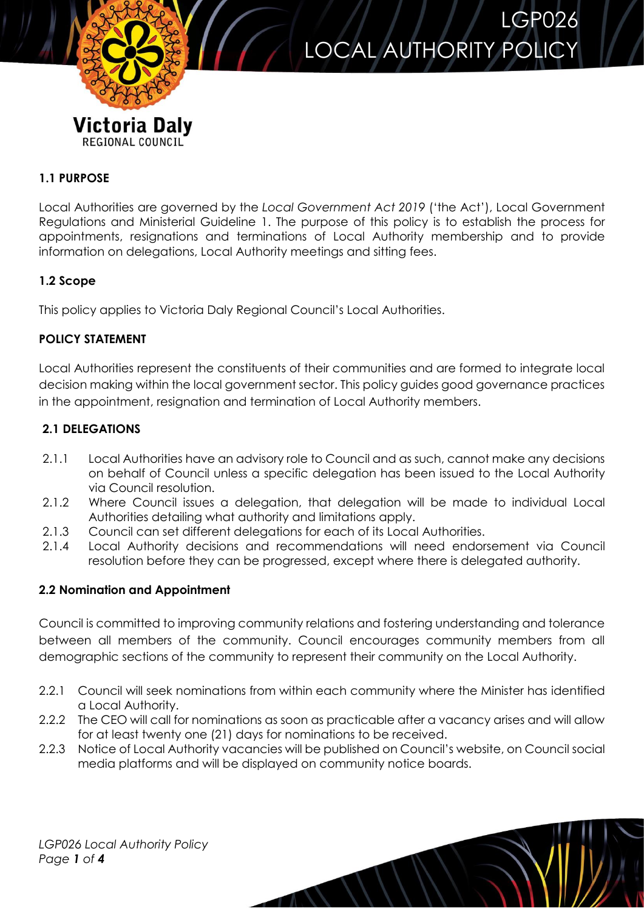

# LOCAL AUTHORITY POLICY

LGP026

## **1.1 PURPOSE**

Local Authorities are governed by the *Local Government Act 2019* ('the Act'), Local Government Regulations and Ministerial Guideline 1. The purpose of this policy is to establish the process for appointments, resignations and terminations of Local Authority membership and to provide information on delegations, Local Authority meetings and sitting fees.

#### **1.2 Scope**

This policy applies to Victoria Daly Regional Council's Local Authorities.

#### **POLICY STATEMENT**

Local Authorities represent the constituents of their communities and are formed to integrate local decision making within the local government sector. This policy guides good governance practices in the appointment, resignation and termination of Local Authority members.

## **2.1 DELEGATIONS**

- 2.1.1 Local Authorities have an advisory role to Council and as such, cannot make any decisions on behalf of Council unless a specific delegation has been issued to the Local Authority via Council resolution.
- 2.1.2 Where Council issues a delegation, that delegation will be made to individual Local Authorities detailing what authority and limitations apply.
- 2.1.3 Council can set different delegations for each of its Local Authorities.
- 2.1.4 Local Authority decisions and recommendations will need endorsement via Council resolution before they can be progressed, except where there is delegated authority.

## **2.2 Nomination and Appointment**

Council is committed to improving community relations and fostering understanding and tolerance between all members of the community. Council encourages community members from all demographic sections of the community to represent their community on the Local Authority.

- 2.2.1 Council will seek nominations from within each community where the Minister has identified a Local Authority.
- 2.2.2 The CEO will call for nominations as soon as practicable after a vacancy arises and will allow for at least twenty one (21) days for nominations to be received.
- 2.2.3 Notice of Local Authority vacancies will be published on Council's website, on Council social media platforms and will be displayed on community notice boards.

 $\overline{M}$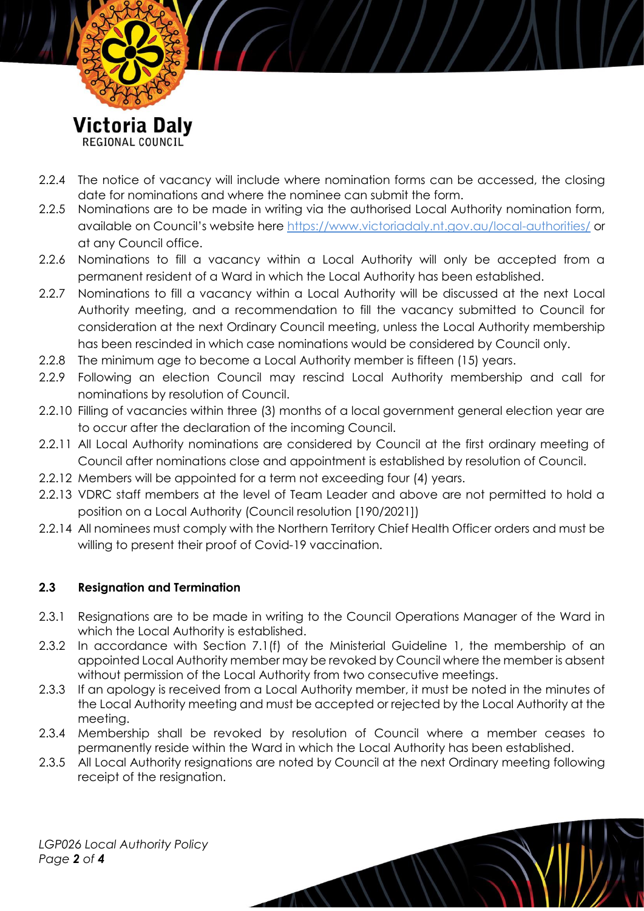

- 2.2.4 The notice of vacancy will include where nomination forms can be accessed, the closing date for nominations and where the nominee can submit the form.
- 2.2.5 Nominations are to be made in writing via the authorised Local Authority nomination form, available on Council's website here https://www.victoriadaly.nt.gov.au/local-authorities/ or at any Council office.
- 2.2.6 Nominations to fill a vacancy within a Local Authority will only be accepted from a permanent resident of a Ward in which the Local Authority has been established.
- 2.2.7 Nominations to fill a vacancy within a Local Authority will be discussed at the next Local Authority meeting, and a recommendation to fill the vacancy submitted to Council for consideration at the next Ordinary Council meeting, unless the Local Authority membership has been rescinded in which case nominations would be considered by Council only.
- 2.2.8 The minimum age to become a Local Authority member is fifteen (15) years.
- 2.2.9 Following an election Council may rescind Local Authority membership and call for nominations by resolution of Council.
- 2.2.10 Filling of vacancies within three (3) months of a local government general election year are to occur after the declaration of the incoming Council.
- 2.2.11 All Local Authority nominations are considered by Council at the first ordinary meeting of Council after nominations close and appointment is established by resolution of Council.
- 2.2.12 Members will be appointed for a term not exceeding four (4) years.
- 2.2.13 VDRC staff members at the level of Team Leader and above are not permitted to hold a position on a Local Authority (Council resolution [190/2021])
- 2.2.14 All nominees must comply with the Northern Territory Chief Health Officer orders and must be willing to present their proof of Covid-19 vaccination.

## **2.3 Resignation and Termination**

- 2.3.1 Resignations are to be made in writing to the Council Operations Manager of the Ward in which the Local Authority is established.
- 2.3.2 In accordance with Section 7.1(f) of the Ministerial Guideline 1, the membership of an appointed Local Authority member may be revoked by Council where the member is absent without permission of the Local Authority from two consecutive meetings.
- 2.3.3 If an apology is received from a Local Authority member, it must be noted in the minutes of the Local Authority meeting and must be accepted or rejected by the Local Authority at the meeting.
- 2.3.4 Membership shall be revoked by resolution of Council where a member ceases to permanently reside within the Ward in which the Local Authority has been established.
- 2.3.5 All Local Authority resignations are noted by Council at the next Ordinary meeting following receipt of the resignation.

 $\mathcal{L}$ 

*LGP026 Local Authority Policy Page 2 of 4*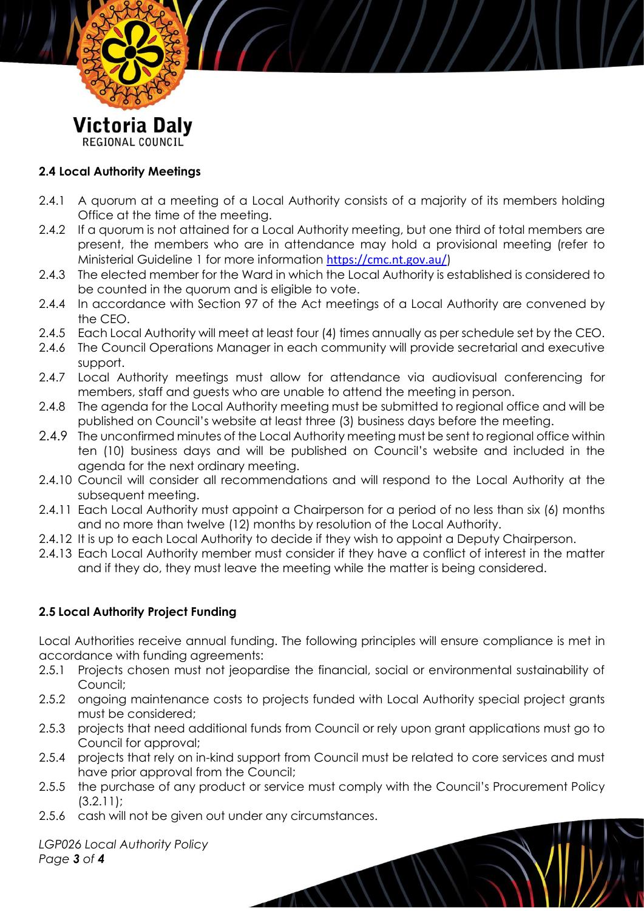

#### **2.4 Local Authority Meetings**

- 2.4.1 A quorum at a meeting of a Local Authority consists of a majority of its members holding Office at the time of the meeting.
- 2.4.2 If a quorum is not attained for a Local Authority meeting, but one third of total members are present, the members who are in attendance may hold a provisional meeting (refer to Ministerial Guideline 1 for more information <https://cmc.nt.gov.au/>)
- 2.4.3 The elected member for the Ward in which the Local Authority is established is considered to be counted in the quorum and is eligible to vote.
- 2.4.4 In accordance with Section 97 of the Act meetings of a Local Authority are convened by the CEO.
- 2.4.5 Each Local Authority will meet at least four (4) times annually as per schedule set by the CEO.
- 2.4.6 The Council Operations Manager in each community will provide secretarial and executive support.
- 2.4.7 Local Authority meetings must allow for attendance via audiovisual conferencing for members, staff and guests who are unable to attend the meeting in person.
- 2.4.8 The agenda for the Local Authority meeting must be submitted to regional office and will be published on Council's website at least three (3) business days before the meeting.
- 2.4.9 The unconfirmed minutes of the Local Authority meeting must be sent to regional office within ten (10) business days and will be published on Council's website and included in the agenda for the next ordinary meeting.
- 2.4.10 Council will consider all recommendations and will respond to the Local Authority at the subsequent meeting.
- 2.4.11 Each Local Authority must appoint a Chairperson for a period of no less than six (6) months and no more than twelve (12) months by resolution of the Local Authority.
- 2.4.12 It is up to each Local Authority to decide if they wish to appoint a Deputy Chairperson.
- 2.4.13 Each Local Authority member must consider if they have a conflict of interest in the matter and if they do, they must leave the meeting while the matter is being considered.

## **2.5 Local Authority Project Funding**

Local Authorities receive annual funding. The following principles will ensure compliance is met in accordance with funding agreements:

- 2.5.1 Projects chosen must not jeopardise the financial, social or environmental sustainability of Council;
- 2.5.2 ongoing maintenance costs to projects funded with Local Authority special project grants must be considered;
- 2.5.3 projects that need additional funds from Council or rely upon grant applications must go to Council for approval;
- 2.5.4 projects that rely on in-kind support from Council must be related to core services and must have prior approval from the Council;
- 2.5.5 the purchase of any product or service must comply with the Council's Procurement Policy (3.2.11);

 $\mathcal{L}(\mathcal{N})$ 

2.5.6 cash will not be given out under any circumstances.

*LGP026 Local Authority Policy Page 3 of 4*